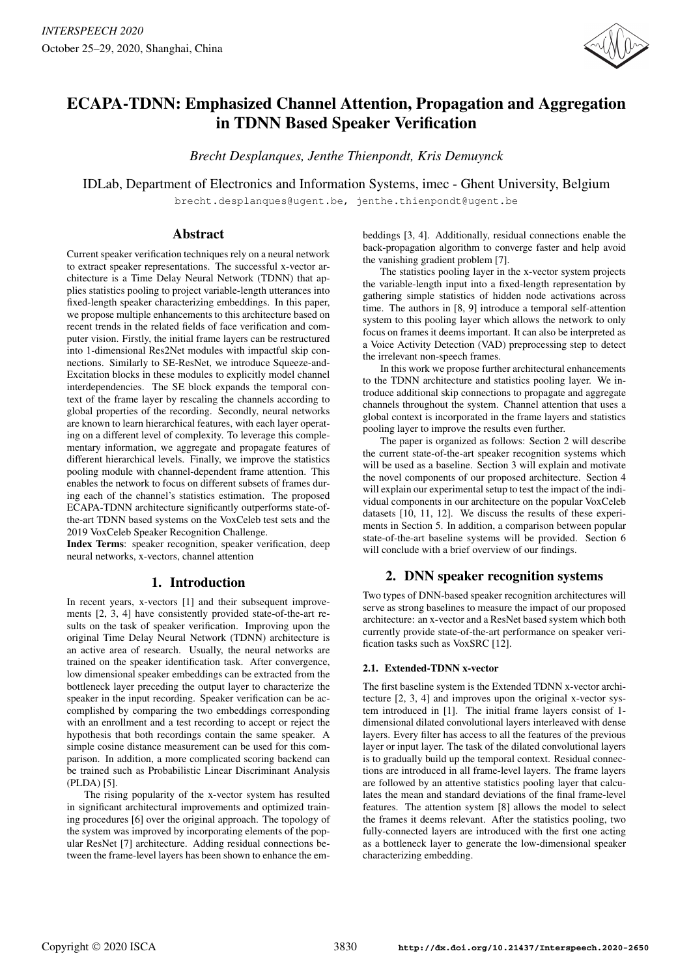

# ECAPA-TDNN: Emphasized Channel Attention, Propagation and Aggregation in TDNN Based Speaker Verification

*Brecht Desplanques, Jenthe Thienpondt, Kris Demuynck*

IDLab, Department of Electronics and Information Systems, imec - Ghent University, Belgium

brecht.desplanques@ugent.be, jenthe.thienpondt@ugent.be

## Abstract

Current speaker verification techniques rely on a neural network to extract speaker representations. The successful x-vector architecture is a Time Delay Neural Network (TDNN) that applies statistics pooling to project variable-length utterances into fixed-length speaker characterizing embeddings. In this paper, we propose multiple enhancements to this architecture based on recent trends in the related fields of face verification and computer vision. Firstly, the initial frame layers can be restructured into 1-dimensional Res2Net modules with impactful skip connections. Similarly to SE-ResNet, we introduce Squeeze-and-Excitation blocks in these modules to explicitly model channel interdependencies. The SE block expands the temporal context of the frame layer by rescaling the channels according to global properties of the recording. Secondly, neural networks are known to learn hierarchical features, with each layer operating on a different level of complexity. To leverage this complementary information, we aggregate and propagate features of different hierarchical levels. Finally, we improve the statistics pooling module with channel-dependent frame attention. This enables the network to focus on different subsets of frames during each of the channel's statistics estimation. The proposed ECAPA-TDNN architecture significantly outperforms state-ofthe-art TDNN based systems on the VoxCeleb test sets and the 2019 VoxCeleb Speaker Recognition Challenge.

Index Terms: speaker recognition, speaker verification, deep neural networks, x-vectors, channel attention

# 1. Introduction

In recent years, x-vectors [1] and their subsequent improvements [2, 3, 4] have consistently provided state-of-the-art results on the task of speaker verification. Improving upon the original Time Delay Neural Network (TDNN) architecture is an active area of research. Usually, the neural networks are trained on the speaker identification task. After convergence, low dimensional speaker embeddings can be extracted from the bottleneck layer preceding the output layer to characterize the speaker in the input recording. Speaker verification can be accomplished by comparing the two embeddings corresponding with an enrollment and a test recording to accept or reject the hypothesis that both recordings contain the same speaker. A simple cosine distance measurement can be used for this comparison. In addition, a more complicated scoring backend can be trained such as Probabilistic Linear Discriminant Analysis (PLDA) [5].

The rising popularity of the x-vector system has resulted in significant architectural improvements and optimized training procedures [6] over the original approach. The topology of the system was improved by incorporating elements of the popular ResNet [7] architecture. Adding residual connections between the frame-level layers has been shown to enhance the embeddings [3, 4]. Additionally, residual connections enable the back-propagation algorithm to converge faster and help avoid the vanishing gradient problem [7].

The statistics pooling layer in the x-vector system projects the variable-length input into a fixed-length representation by gathering simple statistics of hidden node activations across time. The authors in [8, 9] introduce a temporal self-attention system to this pooling layer which allows the network to only focus on frames it deems important. It can also be interpreted as a Voice Activity Detection (VAD) preprocessing step to detect the irrelevant non-speech frames.

In this work we propose further architectural enhancements to the TDNN architecture and statistics pooling layer. We introduce additional skip connections to propagate and aggregate channels throughout the system. Channel attention that uses a global context is incorporated in the frame layers and statistics pooling layer to improve the results even further.

The paper is organized as follows: Section 2 will describe the current state-of-the-art speaker recognition systems which will be used as a baseline. Section 3 will explain and motivate the novel components of our proposed architecture. Section 4 will explain our experimental setup to test the impact of the individual components in our architecture on the popular VoxCeleb datasets [10, 11, 12]. We discuss the results of these experiments in Section 5. In addition, a comparison between popular state-of-the-art baseline systems will be provided. Section 6 will conclude with a brief overview of our findings.

# 2. DNN speaker recognition systems

Two types of DNN-based speaker recognition architectures will serve as strong baselines to measure the impact of our proposed architecture: an x-vector and a ResNet based system which both currently provide state-of-the-art performance on speaker verification tasks such as VoxSRC [12].

## 2.1. Extended-TDNN x-vector

The first baseline system is the Extended TDNN x-vector architecture [2, 3, 4] and improves upon the original x-vector system introduced in [1]. The initial frame layers consist of 1 dimensional dilated convolutional layers interleaved with dense layers. Every filter has access to all the features of the previous layer or input layer. The task of the dilated convolutional layers is to gradually build up the temporal context. Residual connections are introduced in all frame-level layers. The frame layers are followed by an attentive statistics pooling layer that calculates the mean and standard deviations of the final frame-level features. The attention system [8] allows the model to select the frames it deems relevant. After the statistics pooling, two fully-connected layers are introduced with the first one acting as a bottleneck layer to generate the low-dimensional speaker characterizing embedding.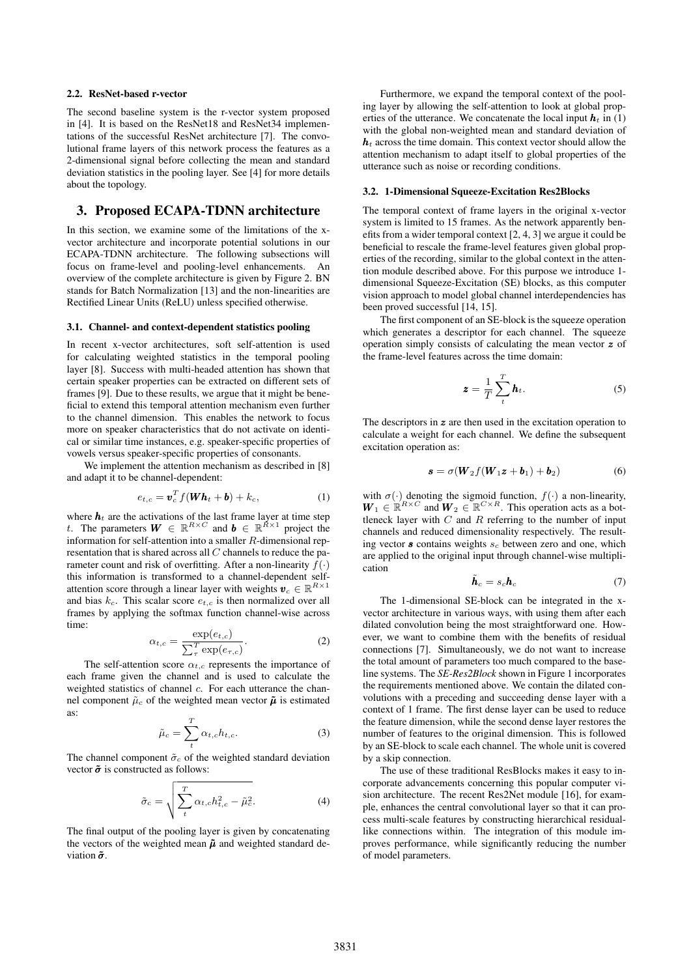#### 2.2. ResNet-based r-vector

The second baseline system is the r-vector system proposed in [4]. It is based on the ResNet18 and ResNet34 implementations of the successful ResNet architecture [7]. The convolutional frame layers of this network process the features as a 2-dimensional signal before collecting the mean and standard deviation statistics in the pooling layer. See [4] for more details about the topology.

#### 3. Proposed ECAPA-TDNN architecture

In this section, we examine some of the limitations of the xvector architecture and incorporate potential solutions in our ECAPA-TDNN architecture. The following subsections will focus on frame-level and pooling-level enhancements. An overview of the complete architecture is given by Figure 2. BN stands for Batch Normalization [13] and the non-linearities are Rectified Linear Units (ReLU) unless specified otherwise.

#### 3.1. Channel- and context-dependent statistics pooling

In recent x-vector architectures, soft self-attention is used for calculating weighted statistics in the temporal pooling layer [8]. Success with multi-headed attention has shown that certain speaker properties can be extracted on different sets of frames [9]. Due to these results, we argue that it might be beneficial to extend this temporal attention mechanism even further to the channel dimension. This enables the network to focus more on speaker characteristics that do not activate on identical or similar time instances, e.g. speaker-specific properties of vowels versus speaker-specific properties of consonants.

We implement the attention mechanism as described in [8] and adapt it to be channel-dependent:

$$
e_{t,c} = \boldsymbol{v}_c^T f(\boldsymbol{W} \boldsymbol{h}_t + \boldsymbol{b}) + k_c, \tag{1}
$$

where  $h_t$  are the activations of the last frame layer at time step t. The parameters  $W \in \mathbb{R}^{R \times C}$  and  $b \in \mathbb{R}^{\tilde{R} \times 1}$  project the information for self-attention into a smaller R-dimensional representation that is shared across all  $C$  channels to reduce the parameter count and risk of overfitting. After a non-linearity  $f(\cdot)$ this information is transformed to a channel-dependent selfattention score through a linear layer with weights  $v_c \in \mathbb{R}^{R \times 1}$ and bias  $k_c$ . This scalar score  $e_{t,c}$  is then normalized over all frames by applying the softmax function channel-wise across time:

$$
\alpha_{t,c} = \frac{\exp(e_{t,c})}{\sum_{\tau}^{T} \exp(e_{\tau,c})}.
$$
 (2)

The self-attention score  $\alpha_{t,c}$  represents the importance of each frame given the channel and is used to calculate the weighted statistics of channel c. For each utterance the channel component  $\tilde{\mu}_c$  of the weighted mean vector  $\tilde{\mu}$  is estimated as:

$$
\tilde{\mu}_c = \sum_t^T \alpha_{t,c} h_{t,c}.\tag{3}
$$

The channel component  $\tilde{\sigma}_c$  of the weighted standard deviation vector  $\tilde{\sigma}$  is constructed as follows:

$$
\tilde{\sigma}_c = \sqrt{\sum_t^T \alpha_{t,c} h_{t,c}^2 - \tilde{\mu}_c^2}.
$$
\n(4)

The final output of the pooling layer is given by concatenating the vectors of the weighted mean  $\tilde{\mu}$  and weighted standard deviation  $\tilde{\sigma}$ .

Furthermore, we expand the temporal context of the pooling layer by allowing the self-attention to look at global properties of the utterance. We concatenate the local input  $h_t$  in (1) with the global non-weighted mean and standard deviation of  $h_t$  across the time domain. This context vector should allow the attention mechanism to adapt itself to global properties of the utterance such as noise or recording conditions.

#### 3.2. 1-Dimensional Squeeze-Excitation Res2Blocks

The temporal context of frame layers in the original x-vector system is limited to 15 frames. As the network apparently benefits from a wider temporal context [2, 4, 3] we argue it could be beneficial to rescale the frame-level features given global properties of the recording, similar to the global context in the attention module described above. For this purpose we introduce 1 dimensional Squeeze-Excitation (SE) blocks, as this computer vision approach to model global channel interdependencies has been proved successful [14, 15].

The first component of an SE-block is the squeeze operation which generates a descriptor for each channel. The squeeze operation simply consists of calculating the mean vector z of the frame-level features across the time domain:

$$
\boldsymbol{z} = \frac{1}{T} \sum_{t}^{T} \boldsymbol{h}_t. \tag{5}
$$

The descriptors in  $z$  are then used in the excitation operation to calculate a weight for each channel. We define the subsequent excitation operation as:

$$
\mathbf{s} = \sigma(\mathbf{W}_2 f(\mathbf{W}_1 \mathbf{z} + \mathbf{b}_1) + \mathbf{b}_2) \tag{6}
$$

with  $\sigma(\cdot)$  denoting the sigmoid function,  $f(\cdot)$  a non-linearity,  $W_1 \in \mathbb{R}^{R \times C}$  and  $W_2 \in \mathbb{R}^{C \times R}$ . This operation acts as a bottleneck layer with  $C$  and  $R$  referring to the number of input channels and reduced dimensionality respectively. The resulting vector  $\boldsymbol{s}$  contains weights  $s_c$  between zero and one, which are applied to the original input through channel-wise multiplication

$$
\tilde{\boldsymbol{h}}_c = s_c \boldsymbol{h}_c \tag{7}
$$

The 1-dimensional SE-block can be integrated in the xvector architecture in various ways, with using them after each dilated convolution being the most straightforward one. However, we want to combine them with the benefits of residual connections [7]. Simultaneously, we do not want to increase the total amount of parameters too much compared to the baseline systems. The *SE-Res2Block* shown in Figure 1 incorporates the requirements mentioned above. We contain the dilated convolutions with a preceding and succeeding dense layer with a context of 1 frame. The first dense layer can be used to reduce the feature dimension, while the second dense layer restores the number of features to the original dimension. This is followed by an SE-block to scale each channel. The whole unit is covered by a skip connection.

The use of these traditional ResBlocks makes it easy to incorporate advancements concerning this popular computer vision architecture. The recent Res2Net module [16], for example, enhances the central convolutional layer so that it can process multi-scale features by constructing hierarchical residuallike connections within. The integration of this module improves performance, while significantly reducing the number of model parameters.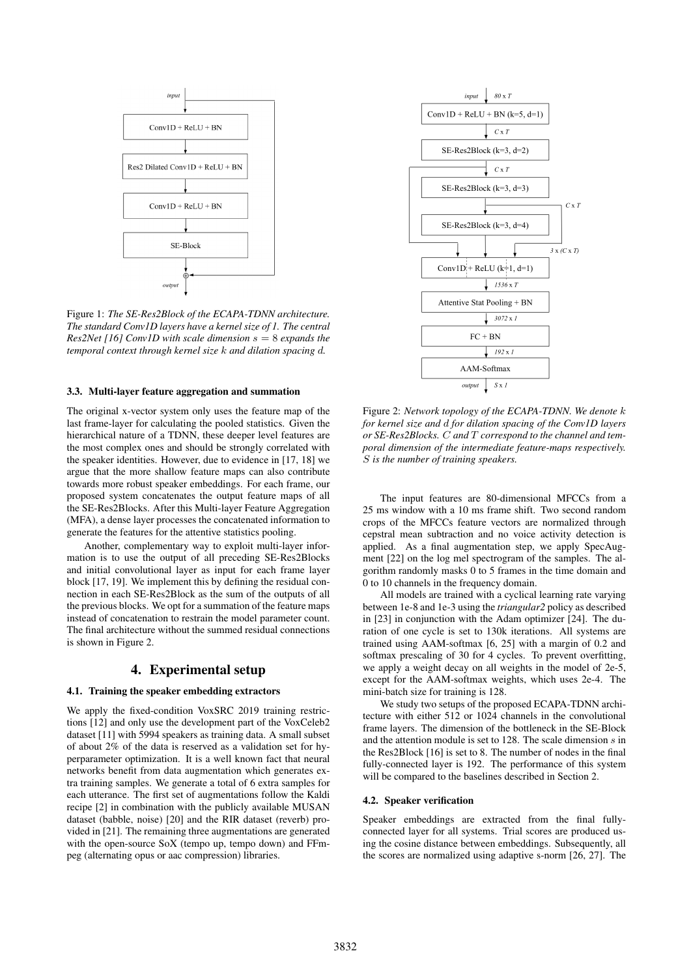

Figure 1: *The SE-Res2Block of the ECAPA-TDNN architecture. The standard Conv1D layers have a kernel size of 1. The central Res2Net [16] Conv1D with scale dimension* s = 8 *expands the temporal context through kernel size* k *and dilation spacing* d*.*

#### 3.3. Multi-layer feature aggregation and summation

The original x-vector system only uses the feature map of the last frame-layer for calculating the pooled statistics. Given the hierarchical nature of a TDNN, these deeper level features are the most complex ones and should be strongly correlated with the speaker identities. However, due to evidence in [17, 18] we argue that the more shallow feature maps can also contribute towards more robust speaker embeddings. For each frame, our proposed system concatenates the output feature maps of all the SE-Res2Blocks. After this Multi-layer Feature Aggregation (MFA), a dense layer processes the concatenated information to generate the features for the attentive statistics pooling.

Another, complementary way to exploit multi-layer information is to use the output of all preceding SE-Res2Blocks and initial convolutional layer as input for each frame layer block [17, 19]. We implement this by defining the residual connection in each SE-Res2Block as the sum of the outputs of all the previous blocks. We opt for a summation of the feature maps instead of concatenation to restrain the model parameter count. The final architecture without the summed residual connections is shown in Figure 2.

### 4. Experimental setup

#### 4.1. Training the speaker embedding extractors

We apply the fixed-condition VoxSRC 2019 training restrictions [12] and only use the development part of the VoxCeleb2 dataset [11] with 5994 speakers as training data. A small subset of about 2% of the data is reserved as a validation set for hyperparameter optimization. It is a well known fact that neural networks benefit from data augmentation which generates extra training samples. We generate a total of 6 extra samples for each utterance. The first set of augmentations follow the Kaldi recipe [2] in combination with the publicly available MUSAN dataset (babble, noise) [20] and the RIR dataset (reverb) provided in [21]. The remaining three augmentations are generated with the open-source SoX (tempo up, tempo down) and FFmpeg (alternating opus or aac compression) libraries.



Figure 2: *Network topology of the ECAPA-TDNN. We denote* k *for kernel size and* d *for dilation spacing of the Conv1D layers or SE-Res2Blocks.* C *and* T *correspond to the channel and temporal dimension of the intermediate feature-maps respectively.* S *is the number of training speakers.*

The input features are 80-dimensional MFCCs from a 25 ms window with a 10 ms frame shift. Two second random crops of the MFCCs feature vectors are normalized through cepstral mean subtraction and no voice activity detection is applied. As a final augmentation step, we apply SpecAugment [22] on the log mel spectrogram of the samples. The algorithm randomly masks 0 to 5 frames in the time domain and 0 to 10 channels in the frequency domain.

All models are trained with a cyclical learning rate varying between 1e-8 and 1e-3 using the *triangular2* policy as described in [23] in conjunction with the Adam optimizer [24]. The duration of one cycle is set to 130k iterations. All systems are trained using AAM-softmax [6, 25] with a margin of 0.2 and softmax prescaling of 30 for 4 cycles. To prevent overfitting, we apply a weight decay on all weights in the model of 2e-5, except for the AAM-softmax weights, which uses 2e-4. The mini-batch size for training is 128.

We study two setups of the proposed ECAPA-TDNN architecture with either 512 or 1024 channels in the convolutional frame layers. The dimension of the bottleneck in the SE-Block and the attention module is set to 128. The scale dimension s in the Res2Block [16] is set to 8. The number of nodes in the final fully-connected layer is 192. The performance of this system will be compared to the baselines described in Section 2.

#### 4.2. Speaker verification

Speaker embeddings are extracted from the final fullyconnected layer for all systems. Trial scores are produced using the cosine distance between embeddings. Subsequently, all the scores are normalized using adaptive s-norm [26, 27]. The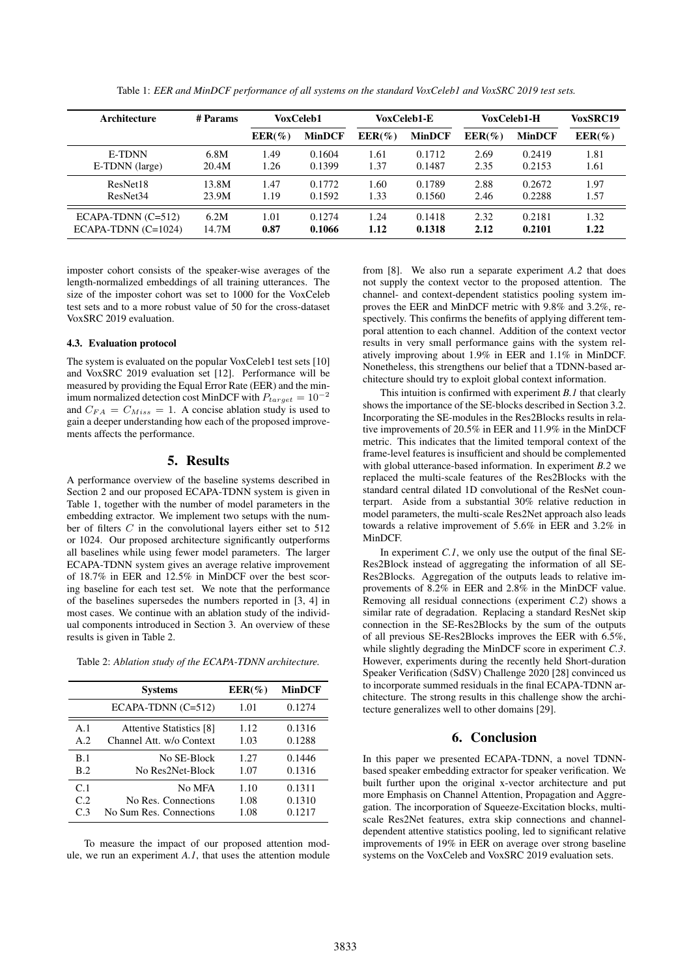| Architecture          | # Params |           | VoxCeleb1<br>VoxCeleb1-E |           | VoxCeleb1-H   |           | <b>VoxSRC19</b> |           |
|-----------------------|----------|-----------|--------------------------|-----------|---------------|-----------|-----------------|-----------|
|                       |          | $EER(\%)$ | <b>MinDCF</b>            | $EER(\%)$ | <b>MinDCF</b> | $EER(\%)$ | <b>MinDCF</b>   | $EER(\%)$ |
| E-TDNN                | 6.8M     | 1.49      | 0.1604                   | 1.61      | 0.1712        | 2.69      | 0.2419          | 1.81      |
| E-TDNN (large)        | 20.4M    | 1.26      | 0.1399                   | 1.37      | 0.1487        | 2.35      | 0.2153          | 1.61      |
| ResNet18              | 13.8M    | 1.47      | 0.1772                   | 1.60      | 0.1789        | 2.88      | 0.2672          | 1.97      |
| ResNet <sub>34</sub>  | 23.9M    | 1.19      | 0.1592                   | 1.33      | 0.1560        | 2.46      | 0.2288          | 1.57      |
| $ECAPA-TDNN (C=512)$  | 6.2M     | 1.01      | 0.1274                   | 1.24      | 0.1418        | 2.32      | 0.2181          | 1.32      |
| $ECAPA-TDNN (C=1024)$ | 14.7M    | 0.87      | 0.1066                   | 1.12      | 0.1318        | 2.12      | 0.2101          | 1.22      |

Table 1: *EER and MinDCF performance of all systems on the standard VoxCeleb1 and VoxSRC 2019 test sets.*

imposter cohort consists of the speaker-wise averages of the length-normalized embeddings of all training utterances. The size of the imposter cohort was set to 1000 for the VoxCeleb test sets and to a more robust value of 50 for the cross-dataset VoxSRC 2019 evaluation.

#### 4.3. Evaluation protocol

The system is evaluated on the popular VoxCeleb1 test sets [10] and VoxSRC 2019 evaluation set [12]. Performance will be measured by providing the Equal Error Rate (EER) and the minimum normalized detection cost MinDCF with  $P_{target} = 10^{-2}$ and  $C_{FA} = C_{Miss} = 1$ . A concise ablation study is used to gain a deeper understanding how each of the proposed improvements affects the performance.

#### 5. Results

A performance overview of the baseline systems described in Section 2 and our proposed ECAPA-TDNN system is given in Table 1, together with the number of model parameters in the embedding extractor. We implement two setups with the number of filters  $C$  in the convolutional layers either set to 512 or 1024. Our proposed architecture significantly outperforms all baselines while using fewer model parameters. The larger ECAPA-TDNN system gives an average relative improvement of 18.7% in EER and 12.5% in MinDCF over the best scoring baseline for each test set. We note that the performance of the baselines supersedes the numbers reported in [3, 4] in most cases. We continue with an ablation study of the individual components introduced in Section 3. An overview of these results is given in Table 2.

Table 2: *Ablation study of the ECAPA-TDNN architecture.*

|                                         | <b>Systems</b>                                                      | $EER(\%)$            | <b>MinDCF</b>              |  |
|-----------------------------------------|---------------------------------------------------------------------|----------------------|----------------------------|--|
|                                         | $ECAPA-TDNN (C=512)$                                                | 1.01                 | 0.1274                     |  |
| A.1<br>A.2<br>B.1                       | Attentive Statistics [8]<br>Channel Att. w/o Context<br>No SE-Block | 1.12<br>1.03<br>1.27 | 0.1316<br>0.1288<br>0.1446 |  |
| B.2                                     | No Res2Net-Block                                                    | 1.07                 | 0.1316                     |  |
| C <sub>1</sub><br>C.2<br>C <sub>3</sub> | No MFA<br>No Res. Connections<br>No Sum Res. Connections            | 1.10<br>1.08<br>1.08 | 0.1311<br>0.1310<br>0.1217 |  |

To measure the impact of our proposed attention module, we run an experiment *A.1*, that uses the attention module

from [8]. We also run a separate experiment *A.2* that does not supply the context vector to the proposed attention. The channel- and context-dependent statistics pooling system improves the EER and MinDCF metric with 9.8% and 3.2%, respectively. This confirms the benefits of applying different temporal attention to each channel. Addition of the context vector results in very small performance gains with the system relatively improving about 1.9% in EER and 1.1% in MinDCF. Nonetheless, this strengthens our belief that a TDNN-based architecture should try to exploit global context information.

This intuition is confirmed with experiment *B.1* that clearly shows the importance of the SE-blocks described in Section 3.2. Incorporating the SE-modules in the Res2Blocks results in relative improvements of 20.5% in EER and 11.9% in the MinDCF metric. This indicates that the limited temporal context of the frame-level features is insufficient and should be complemented with global utterance-based information. In experiment *B.2* we replaced the multi-scale features of the Res2Blocks with the standard central dilated 1D convolutional of the ResNet counterpart. Aside from a substantial 30% relative reduction in model parameters, the multi-scale Res2Net approach also leads towards a relative improvement of 5.6% in EER and 3.2% in MinDCF.

In experiment *C.1*, we only use the output of the final SE-Res2Block instead of aggregating the information of all SE-Res2Blocks. Aggregation of the outputs leads to relative improvements of 8.2% in EER and 2.8% in the MinDCF value. Removing all residual connections (experiment *C.2*) shows a similar rate of degradation. Replacing a standard ResNet skip connection in the SE-Res2Blocks by the sum of the outputs of all previous SE-Res2Blocks improves the EER with 6.5%, while slightly degrading the MinDCF score in experiment *C.3*. However, experiments during the recently held Short-duration Speaker Verification (SdSV) Challenge 2020 [28] convinced us to incorporate summed residuals in the final ECAPA-TDNN architecture. The strong results in this challenge show the architecture generalizes well to other domains [29].

## 6. Conclusion

In this paper we presented ECAPA-TDNN, a novel TDNNbased speaker embedding extractor for speaker verification. We built further upon the original x-vector architecture and put more Emphasis on Channel Attention, Propagation and Aggregation. The incorporation of Squeeze-Excitation blocks, multiscale Res2Net features, extra skip connections and channeldependent attentive statistics pooling, led to significant relative improvements of 19% in EER on average over strong baseline systems on the VoxCeleb and VoxSRC 2019 evaluation sets.